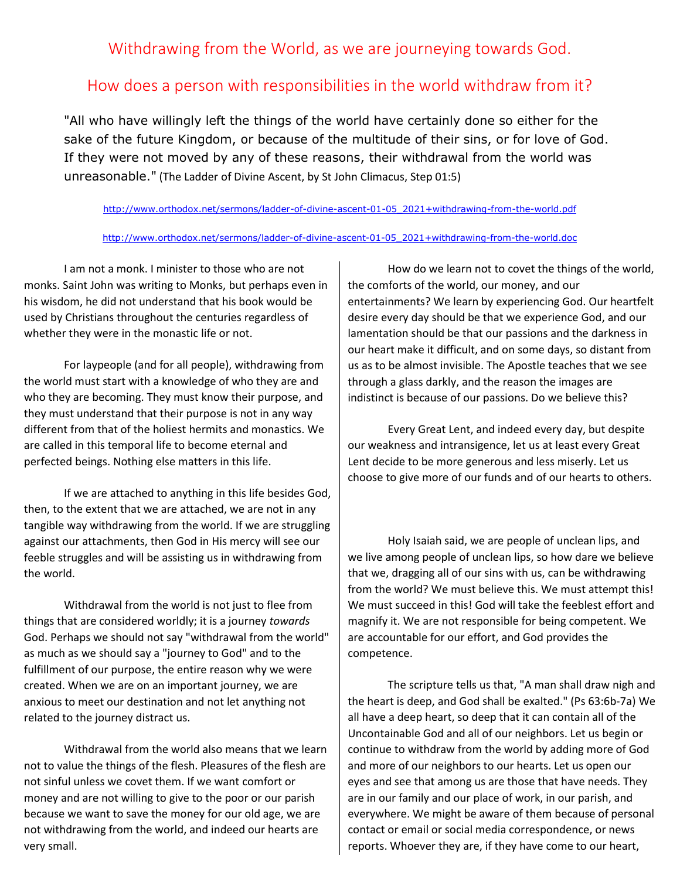## Withdrawing from the World, as we are journeying towards God.

## How does a person with responsibilities in the world withdraw from it?

"All who have willingly left the things of the world have certainly done so either for the sake of the future Kingdom, or because of the multitude of their sins, or for love of God. If they were not moved by any of these reasons, their withdrawal from the world was unreasonable." (The Ladder of Divine Ascent, by St John Climacus, Step 01:5)

[http://www.orthodox.net/sermons/ladder-of-divine-ascent-01-05\\_2021+withdrawing-from-the-world.pdf](https://www.orthodox.net//sermons/ladder-of-divine-ascent-01-05_2021+withdrawing-from-the-world.pdf)

## [http://www.orthodox.net/sermons/ladder-of-divine-ascent-01-05\\_2021+withdrawing-from-the-world.doc](https://www.orthodox.net//sermons/ladder-of-divine-ascent-01-05_2021+withdrawing-from-the-world.doc)

I am not a monk. I minister to those who are not monks. Saint John was writing to Monks, but perhaps even in his wisdom, he did not understand that his book would be used by Christians throughout the centuries regardless of whether they were in the monastic life or not.

For laypeople (and for all people), withdrawing from the world must start with a knowledge of who they are and who they are becoming. They must know their purpose, and they must understand that their purpose is not in any way different from that of the holiest hermits and monastics. We are called in this temporal life to become eternal and perfected beings. Nothing else matters in this life.

If we are attached to anything in this life besides God, then, to the extent that we are attached, we are not in any tangible way withdrawing from the world. If we are struggling against our attachments, then God in His mercy will see our feeble struggles and will be assisting us in withdrawing from the world.

Withdrawal from the world is not just to flee from things that are considered worldly; it is a journey *towards*  God. Perhaps we should not say "withdrawal from the world" as much as we should say a "journey to God" and to the fulfillment of our purpose, the entire reason why we were created. When we are on an important journey, we are anxious to meet our destination and not let anything not related to the journey distract us.

Withdrawal from the world also means that we learn not to value the things of the flesh. Pleasures of the flesh are not sinful unless we covet them. If we want comfort or money and are not willing to give to the poor or our parish because we want to save the money for our old age, we are not withdrawing from the world, and indeed our hearts are very small.

How do we learn not to covet the things of the world, the comforts of the world, our money, and our entertainments? We learn by experiencing God. Our heartfelt desire every day should be that we experience God, and our lamentation should be that our passions and the darkness in our heart make it difficult, and on some days, so distant from us as to be almost invisible. The Apostle teaches that we see through a glass darkly, and the reason the images are indistinct is because of our passions. Do we believe this?

Every Great Lent, and indeed every day, but despite our weakness and intransigence, let us at least every Great Lent decide to be more generous and less miserly. Let us choose to give more of our funds and of our hearts to others.

Holy Isaiah said, we are people of unclean lips, and we live among people of unclean lips, so how dare we believe that we, dragging all of our sins with us, can be withdrawing from the world? We must believe this. We must attempt this! We must succeed in this! God will take the feeblest effort and magnify it. We are not responsible for being competent. We are accountable for our effort, and God provides the competence.

The scripture tells us that, "A man shall draw nigh and the heart is deep, and God shall be exalted." (Ps 63:6b-7a) We all have a deep heart, so deep that it can contain all of the Uncontainable God and all of our neighbors. Let us begin or continue to withdraw from the world by adding more of God and more of our neighbors to our hearts. Let us open our eyes and see that among us are those that have needs. They are in our family and our place of work, in our parish, and everywhere. We might be aware of them because of personal contact or email or social media correspondence, or news reports. Whoever they are, if they have come to our heart,